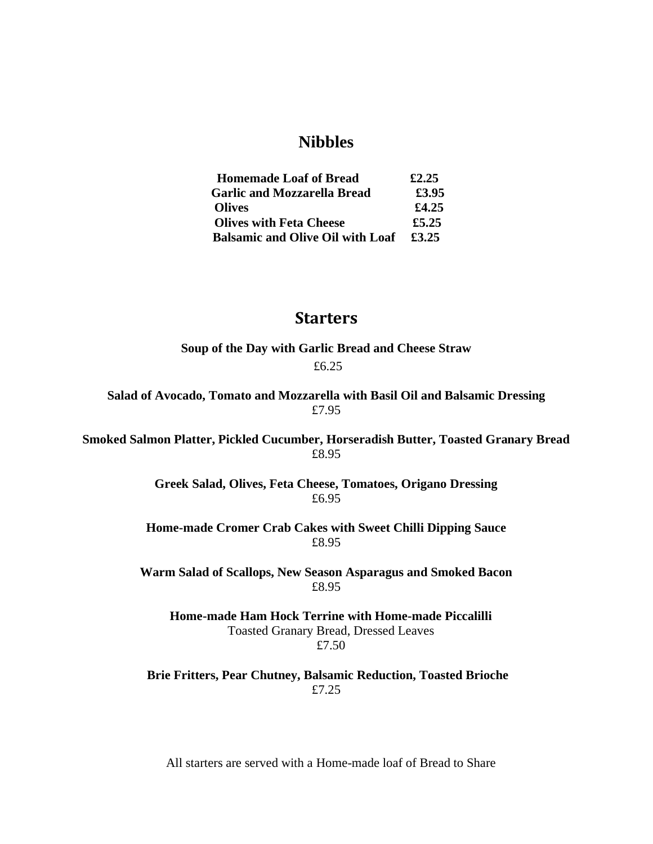# **Nibbles**

| <b>Homemade Loaf of Bread</b>           | £2.25 |
|-----------------------------------------|-------|
| <b>Garlic and Mozzarella Bread</b>      | £3.95 |
| <b>Olives</b>                           | £4.25 |
| <b>Olives with Feta Cheese</b>          | £5.25 |
| <b>Balsamic and Olive Oil with Loaf</b> | £3.25 |

## **Starters**

**Soup of the Day with Garlic Bread and Cheese Straw** £6.25

**Salad of Avocado, Tomato and Mozzarella with Basil Oil and Balsamic Dressing** £7.95

**Smoked Salmon Platter, Pickled Cucumber, Horseradish Butter, Toasted Granary Bread** £8.95

> **Greek Salad, Olives, Feta Cheese, Tomatoes, Origano Dressing** £6.95

**Home-made Cromer Crab Cakes with Sweet Chilli Dipping Sauce** £8.95

**Warm Salad of Scallops, New Season Asparagus and Smoked Bacon** £8.95

**Home-made Ham Hock Terrine with Home-made Piccalilli** Toasted Granary Bread, Dressed Leaves £7.50

**Brie Fritters, Pear Chutney, Balsamic Reduction, Toasted Brioche**  £7.25

All starters are served with a Home-made loaf of Bread to Share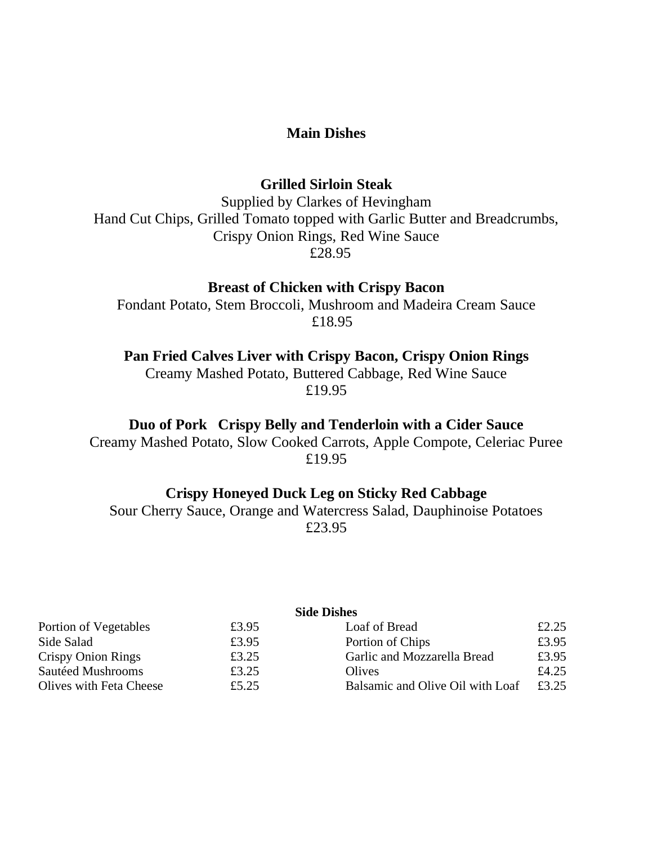### **Main Dishes**

#### **Grilled Sirloin Steak**

Supplied by Clarkes of Hevingham Hand Cut Chips, Grilled Tomato topped with Garlic Butter and Breadcrumbs, Crispy Onion Rings, Red Wine Sauce £28.95

### **Breast of Chicken with Crispy Bacon**

Fondant Potato, Stem Broccoli, Mushroom and Madeira Cream Sauce £18.95

**Pan Fried Calves Liver with Crispy Bacon, Crispy Onion Rings**

Creamy Mashed Potato, Buttered Cabbage, Red Wine Sauce £19.95

**Duo of Pork Crispy Belly and Tenderloin with a Cider Sauce**

Creamy Mashed Potato, Slow Cooked Carrots, Apple Compote, Celeriac Puree £19.95

# **Crispy Honeyed Duck Leg on Sticky Red Cabbage**

Sour Cherry Sauce, Orange and Watercress Salad, Dauphinoise Potatoes £23.95

#### **Side Dishes**

| Portion of Vegetables          | £3.95 | Loaf of Bread                    | £2.25 |
|--------------------------------|-------|----------------------------------|-------|
| Side Salad                     | £3.95 | Portion of Chips                 | £3.95 |
| Crispy Onion Rings             | £3.25 | Garlic and Mozzarella Bread      | £3.95 |
| Sautéed Mushrooms              | £3.25 | Olives                           | £4.25 |
| <b>Olives with Feta Cheese</b> | £5.25 | Balsamic and Olive Oil with Loaf | £3.25 |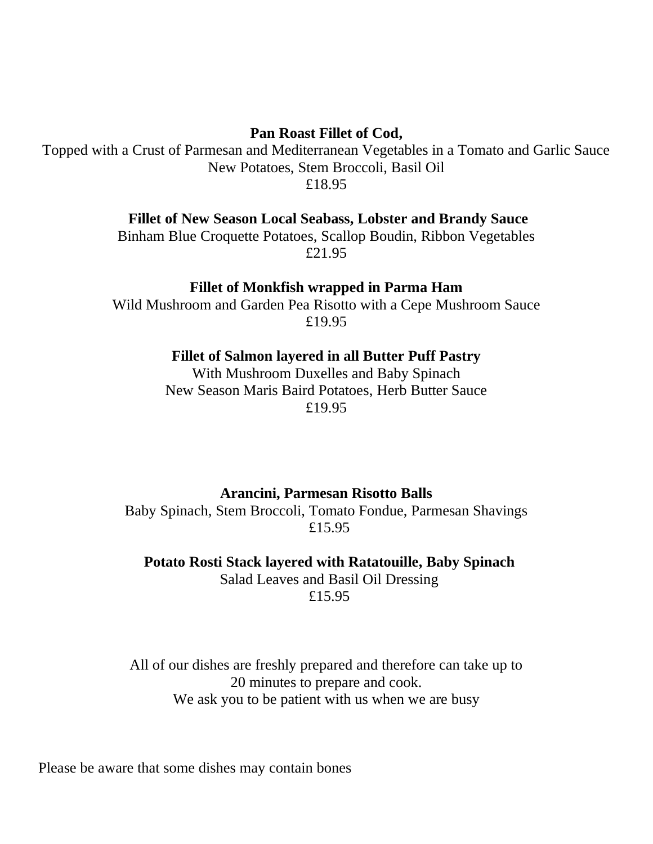**Pan Roast Fillet of Cod,** 

Topped with a Crust of Parmesan and Mediterranean Vegetables in a Tomato and Garlic Sauce New Potatoes, Stem Broccoli, Basil Oil £18.95

**Fillet of New Season Local Seabass, Lobster and Brandy Sauce**

Binham Blue Croquette Potatoes, Scallop Boudin, Ribbon Vegetables £21.95

**Fillet of Monkfish wrapped in Parma Ham**

Wild Mushroom and Garden Pea Risotto with a Cepe Mushroom Sauce £19.95

**Fillet of Salmon layered in all Butter Puff Pastry**

With Mushroom Duxelles and Baby Spinach New Season Maris Baird Potatoes, Herb Butter Sauce £19.95

**Arancini, Parmesan Risotto Balls**

Baby Spinach, Stem Broccoli, Tomato Fondue, Parmesan Shavings £15.95

**Potato Rosti Stack layered with Ratatouille, Baby Spinach**

Salad Leaves and Basil Oil Dressing £15.95

All of our dishes are freshly prepared and therefore can take up to 20 minutes to prepare and cook. We ask you to be patient with us when we are busy

Please be aware that some dishes may contain bones